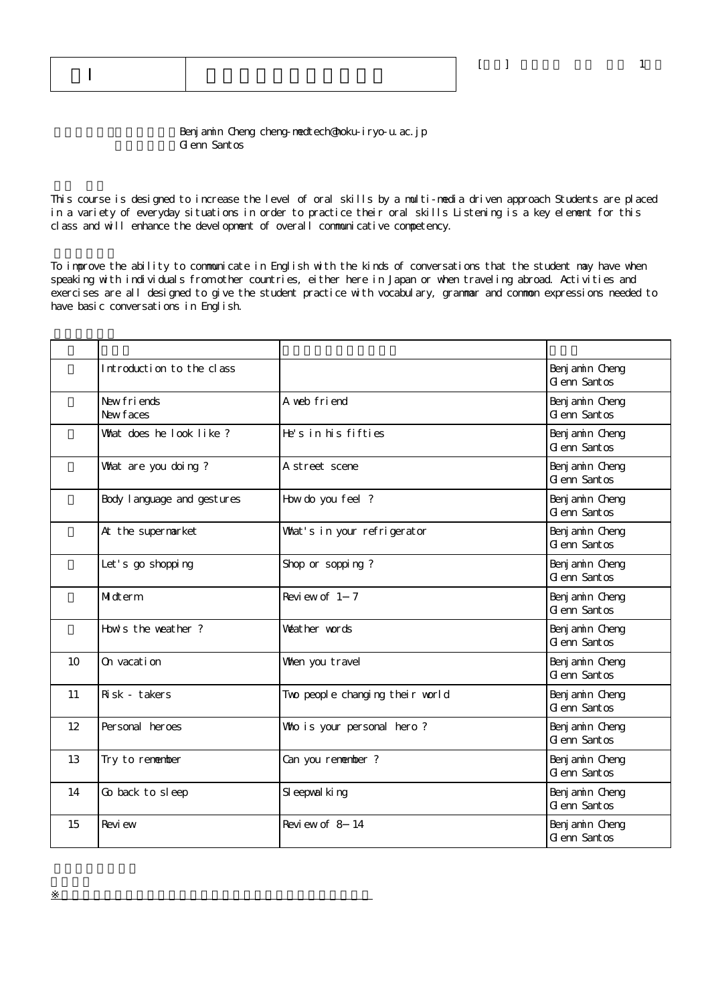Benj amin Cheng cheng-medtech@hoku-iryo-u.ac.jp G enn Santos

英語Ⅰ 英語コミュニケーションA

※授業実施形態は、各学部(研究科)、学校の授業実施方針による

This course is designed to increase the level of oral skills by a multi-media driven approach Students are placed in a variety of everyday situations in order to practice their oral skills Listening is a key element for this class and will enhance the development of overall communicative competency.

To improve the ability to communicate in English with the kinds of conversations that the student may have when speaking with individuals from other countries, either here in Japan or when traveling abroad. Activities and exercises are all designed to give the student practice with vocabulary, grammar and common expressions needed to have basic conversations in English.

|    | Introduction to the class   |                                 | Benj am in Cheng<br>G enn Santos |
|----|-----------------------------|---------------------------------|----------------------------------|
|    | New friends<br>New faces    | A web friend                    | Benj am in Cheng<br>G enn Santos |
|    | What does he look like?     | He's in his fifties             | Benj am in Cheng<br>G enn Santos |
|    | What are you doing?         | A street scene                  | Benj amin Cheng<br>G enn Santos  |
|    | Body I anguage and gestures | How do you feel?                | Benj am in Cheng<br>G enn Santos |
|    | At the supermarket          | What's in your refrigerator     | Benj am in Cheng<br>G enn Santos |
|    | Let's go shopping           | Shop or sopping?                | Benj amin Cheng<br>G enn Santos  |
|    | Midterm                     | Review of 1 7                   | Benj am in Cheng<br>G enn Santos |
|    | How's the weather?          | Weather words                   | Benj am in Cheng<br>G enn Santos |
| 10 | On vacation                 | When you travel                 | Benj am in Cheng<br>G enn Santos |
| 11 | Risk - takers               | Two people changing their world | Benj am n Cheng<br>G enn Santos  |
| 12 | Personal heroes             | Who is your personal hero?      | Benj am in Cheng<br>G enn Santos |
| 13 | Try to remember             | Can you remember ?              | Benj am in Cheng<br>G enn Santos |
| 14 | Go back to sleep            | SI eepval king                  | Benj am in Cheng<br>G enn Santos |
| 15 | Revi ew                     | Review of 8 14                  | Benj am in Cheng<br>G enn Santos |